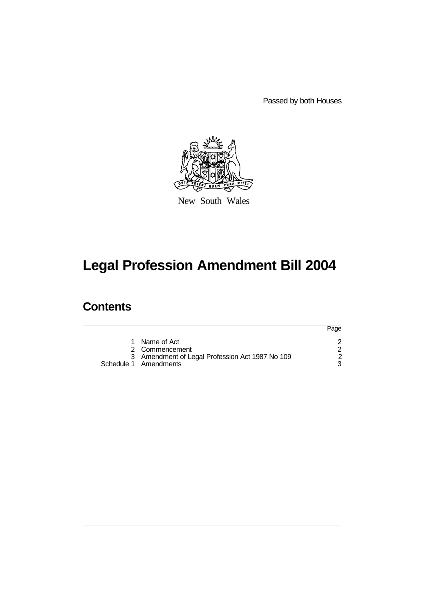Passed by both Houses



New South Wales

# **Legal Profession Amendment Bill 2004**

## **Contents**

|                                                                                                             | Page |
|-------------------------------------------------------------------------------------------------------------|------|
| 1 Name of Act<br>2 Commencement<br>3 Amendment of Legal Profession Act 1987 No 109<br>Schedule 1 Amendments |      |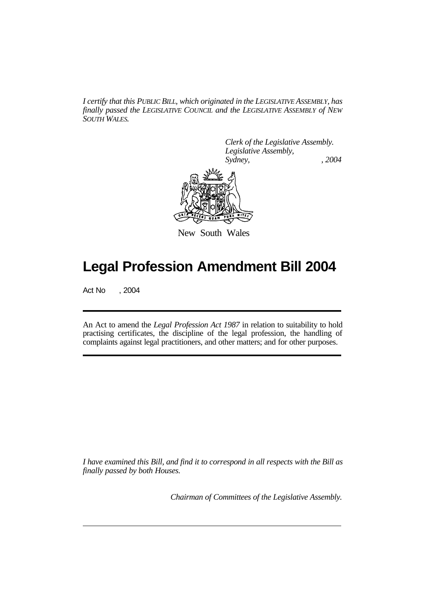*I certify that this PUBLIC BILL, which originated in the LEGISLATIVE ASSEMBLY, has finally passed the LEGISLATIVE COUNCIL and the LEGISLATIVE ASSEMBLY of NEW SOUTH WALES.*

> *Clerk of the Legislative Assembly. Legislative Assembly, Sydney, , 2004*



New South Wales

## **Legal Profession Amendment Bill 2004**

Act No , 2004

An Act to amend the *Legal Profession Act 1987* in relation to suitability to hold practising certificates, the discipline of the legal profession, the handling of complaints against legal practitioners, and other matters; and for other purposes.

*I have examined this Bill, and find it to correspond in all respects with the Bill as finally passed by both Houses.*

*Chairman of Committees of the Legislative Assembly.*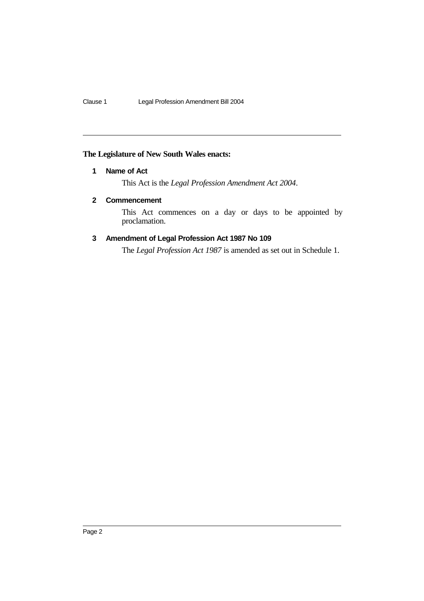## **The Legislature of New South Wales enacts:**

## **1 Name of Act**

This Act is the *Legal Profession Amendment Act 2004*.

## **2 Commencement**

This Act commences on a day or days to be appointed by proclamation.

## **3 Amendment of Legal Profession Act 1987 No 109**

The *Legal Profession Act 1987* is amended as set out in Schedule 1.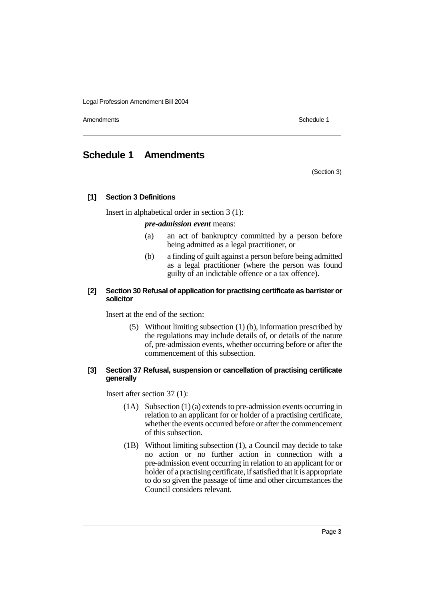Amendments **Schedule 1** and the set of the set of the set of the set of the set of the set of the set of the set of the set of the set of the set of the set of the set of the set of the set of the set of the set of the set

## **Schedule 1 Amendments**

(Section 3)

#### **[1] Section 3 Definitions**

Insert in alphabetical order in section 3 (1):

*pre-admission event* means:

- (a) an act of bankruptcy committed by a person before being admitted as a legal practitioner, or
- (b) a finding of guilt against a person before being admitted as a legal practitioner (where the person was found guilty of an indictable offence or a tax offence).

#### **[2] Section 30 Refusal of application for practising certificate as barrister or solicitor**

Insert at the end of the section:

(5) Without limiting subsection (1) (b), information prescribed by the regulations may include details of, or details of the nature of, pre-admission events, whether occurring before or after the commencement of this subsection.

#### **[3] Section 37 Refusal, suspension or cancellation of practising certificate generally**

Insert after section 37 (1):

- (1A) Subsection (1) (a) extends to pre-admission events occurring in relation to an applicant for or holder of a practising certificate, whether the events occurred before or after the commencement of this subsection.
- (1B) Without limiting subsection (1), a Council may decide to take no action or no further action in connection with a pre-admission event occurring in relation to an applicant for or holder of a practising certificate, if satisfied that it is appropriate to do so given the passage of time and other circumstances the Council considers relevant.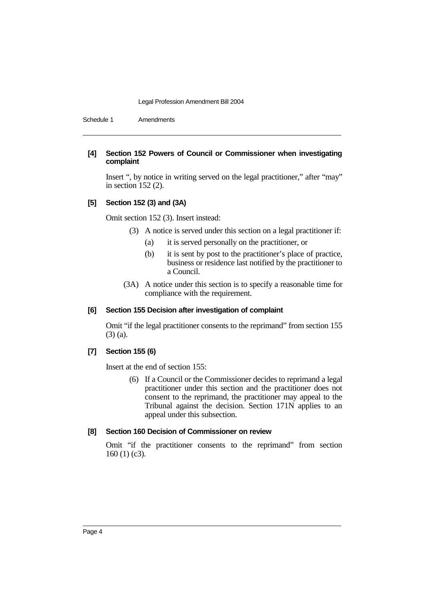Schedule 1 Amendments

#### **[4] Section 152 Powers of Council or Commissioner when investigating complaint**

Insert ", by notice in writing served on the legal practitioner," after "may" in section 152 (2).

#### **[5] Section 152 (3) and (3A)**

Omit section 152 (3). Insert instead:

- (3) A notice is served under this section on a legal practitioner if:
	- (a) it is served personally on the practitioner, or
	- (b) it is sent by post to the practitioner's place of practice, business or residence last notified by the practitioner to a Council.
- (3A) A notice under this section is to specify a reasonable time for compliance with the requirement.

#### **[6] Section 155 Decision after investigation of complaint**

Omit "if the legal practitioner consents to the reprimand" from section 155 (3) (a).

#### **[7] Section 155 (6)**

Insert at the end of section 155:

(6) If a Council or the Commissioner decides to reprimand a legal practitioner under this section and the practitioner does not consent to the reprimand, the practitioner may appeal to the Tribunal against the decision. Section 171N applies to an appeal under this subsection.

#### **[8] Section 160 Decision of Commissioner on review**

Omit "if the practitioner consents to the reprimand" from section 160 (1) (c3).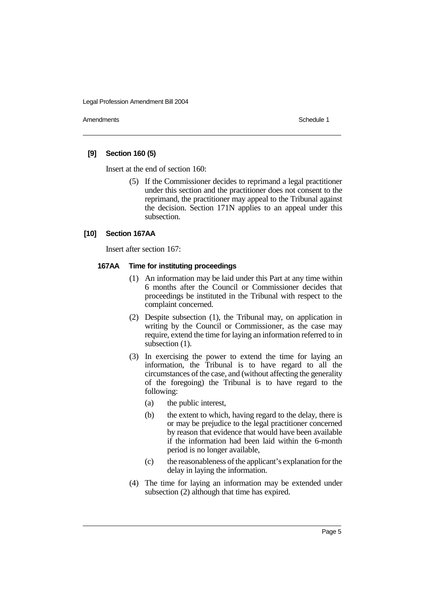Amendments **Schedule 1** and the set of the set of the set of the set of the set of the set of the set of the set of the set of the set of the set of the set of the set of the set of the set of the set of the set of the set

#### **[9] Section 160 (5)**

Insert at the end of section 160:

(5) If the Commissioner decides to reprimand a legal practitioner under this section and the practitioner does not consent to the reprimand, the practitioner may appeal to the Tribunal against the decision. Section 171N applies to an appeal under this subsection.

#### **[10] Section 167AA**

Insert after section 167:

#### **167AA Time for instituting proceedings**

- (1) An information may be laid under this Part at any time within 6 months after the Council or Commissioner decides that proceedings be instituted in the Tribunal with respect to the complaint concerned.
- (2) Despite subsection (1), the Tribunal may, on application in writing by the Council or Commissioner, as the case may require, extend the time for laying an information referred to in subsection  $(1)$ .
- (3) In exercising the power to extend the time for laying an information, the Tribunal is to have regard to all the circumstances of the case, and (without affecting the generality of the foregoing) the Tribunal is to have regard to the following:
	- (a) the public interest,
	- (b) the extent to which, having regard to the delay, there is or may be prejudice to the legal practitioner concerned by reason that evidence that would have been available if the information had been laid within the 6-month period is no longer available,
	- (c) the reasonableness of the applicant's explanation for the delay in laying the information.
- (4) The time for laying an information may be extended under subsection (2) although that time has expired.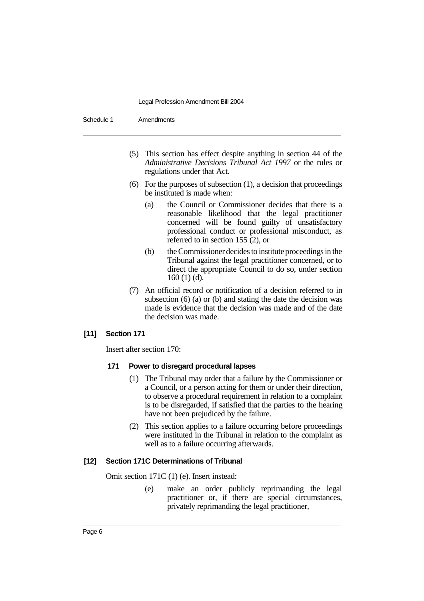| Schedule 1 | <b>Amendments</b> |
|------------|-------------------|
|------------|-------------------|

- (5) This section has effect despite anything in section 44 of the *Administrative Decisions Tribunal Act 1997* or the rules or regulations under that Act.
- (6) For the purposes of subsection (1), a decision that proceedings be instituted is made when:
	- (a) the Council or Commissioner decides that there is a reasonable likelihood that the legal practitioner concerned will be found guilty of unsatisfactory professional conduct or professional misconduct, as referred to in section 155 (2), or
	- (b) the Commissioner decides to institute proceedings in the Tribunal against the legal practitioner concerned, or to direct the appropriate Council to do so, under section 160 (1) (d).
- (7) An official record or notification of a decision referred to in subsection (6) (a) or (b) and stating the date the decision was made is evidence that the decision was made and of the date the decision was made.

## **[11] Section 171**

Insert after section 170:

## **171 Power to disregard procedural lapses**

- (1) The Tribunal may order that a failure by the Commissioner or a Council, or a person acting for them or under their direction, to observe a procedural requirement in relation to a complaint is to be disregarded, if satisfied that the parties to the hearing have not been prejudiced by the failure.
- (2) This section applies to a failure occurring before proceedings were instituted in the Tribunal in relation to the complaint as well as to a failure occurring afterwards.

## **[12] Section 171C Determinations of Tribunal**

Omit section 171C (1) (e). Insert instead:

(e) make an order publicly reprimanding the legal practitioner or, if there are special circumstances, privately reprimanding the legal practitioner,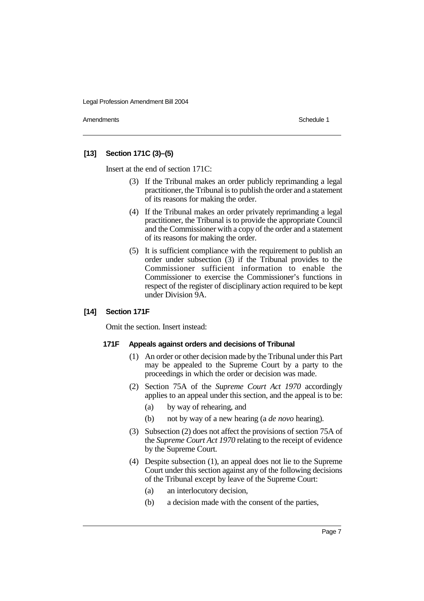Amendments **Schedule 1** and the set of the set of the set of the set of the set of the set of the set of the set of the set of the set of the set of the set of the set of the set of the set of the set of the set of the set

## **[13] Section 171C (3)–(5)**

Insert at the end of section 171C:

- (3) If the Tribunal makes an order publicly reprimanding a legal practitioner, the Tribunal is to publish the order and a statement of its reasons for making the order.
- (4) If the Tribunal makes an order privately reprimanding a legal practitioner, the Tribunal is to provide the appropriate Council and the Commissioner with a copy of the order and a statement of its reasons for making the order.
- (5) It is sufficient compliance with the requirement to publish an order under subsection (3) if the Tribunal provides to the Commissioner sufficient information to enable the Commissioner to exercise the Commissioner's functions in respect of the register of disciplinary action required to be kept under Division 9A.

## **[14] Section 171F**

Omit the section. Insert instead:

#### **171F Appeals against orders and decisions of Tribunal**

- (1) An order or other decision made by the Tribunal under this Part may be appealed to the Supreme Court by a party to the proceedings in which the order or decision was made.
- (2) Section 75A of the *Supreme Court Act 1970* accordingly applies to an appeal under this section, and the appeal is to be:
	- (a) by way of rehearing, and
	- (b) not by way of a new hearing (a *de novo* hearing).
- (3) Subsection (2) does not affect the provisions of section 75A of the *Supreme Court Act 1970* relating to the receipt of evidence by the Supreme Court.
- (4) Despite subsection (1), an appeal does not lie to the Supreme Court under this section against any of the following decisions of the Tribunal except by leave of the Supreme Court:
	- (a) an interlocutory decision,
	- (b) a decision made with the consent of the parties,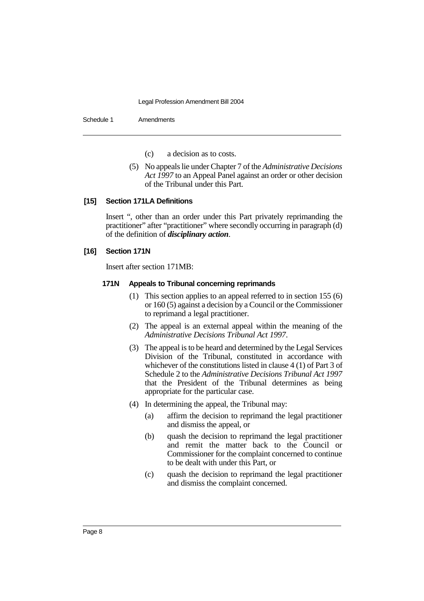Schedule 1 Amendments

- (c) a decision as to costs.
- (5) No appeals lie under Chapter 7 of the *Administrative Decisions Act 1997* to an Appeal Panel against an order or other decision of the Tribunal under this Part.

#### **[15] Section 171LA Definitions**

Insert ", other than an order under this Part privately reprimanding the practitioner" after "practitioner" where secondly occurring in paragraph (d) of the definition of *disciplinary action*.

#### **[16] Section 171N**

Insert after section 171MB:

#### **171N Appeals to Tribunal concerning reprimands**

- (1) This section applies to an appeal referred to in section 155 (6) or 160 (5) against a decision by a Council or the Commissioner to reprimand a legal practitioner.
- (2) The appeal is an external appeal within the meaning of the *Administrative Decisions Tribunal Act 1997*.
- (3) The appeal is to be heard and determined by the Legal Services Division of the Tribunal, constituted in accordance with whichever of the constitutions listed in clause 4 (1) of Part 3 of Schedule 2 to the *Administrative Decisions Tribunal Act 1997* that the President of the Tribunal determines as being appropriate for the particular case.
- (4) In determining the appeal, the Tribunal may:
	- (a) affirm the decision to reprimand the legal practitioner and dismiss the appeal, or
	- (b) quash the decision to reprimand the legal practitioner and remit the matter back to the Council or Commissioner for the complaint concerned to continue to be dealt with under this Part, or
	- (c) quash the decision to reprimand the legal practitioner and dismiss the complaint concerned.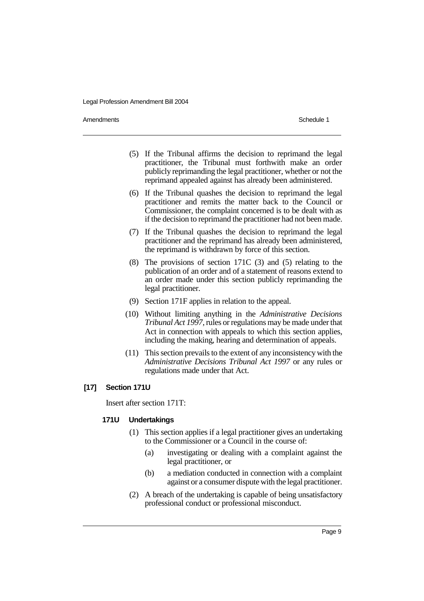Amendments **Schedule 1** and the set of the set of the set of the set of the set of the set of the set of the set of the set of the set of the set of the set of the set of the set of the set of the set of the set of the set

- (5) If the Tribunal affirms the decision to reprimand the legal practitioner, the Tribunal must forthwith make an order publicly reprimanding the legal practitioner, whether or not the reprimand appealed against has already been administered.
- (6) If the Tribunal quashes the decision to reprimand the legal practitioner and remits the matter back to the Council or Commissioner, the complaint concerned is to be dealt with as if the decision to reprimand the practitioner had not been made.
- (7) If the Tribunal quashes the decision to reprimand the legal practitioner and the reprimand has already been administered, the reprimand is withdrawn by force of this section.
- (8) The provisions of section 171C (3) and (5) relating to the publication of an order and of a statement of reasons extend to an order made under this section publicly reprimanding the legal practitioner.
- (9) Section 171F applies in relation to the appeal.
- (10) Without limiting anything in the *Administrative Decisions Tribunal Act 1997*, rules or regulations may be made under that Act in connection with appeals to which this section applies, including the making, hearing and determination of appeals.
- (11) This section prevails to the extent of any inconsistency with the *Administrative Decisions Tribunal Act 1997* or any rules or regulations made under that Act.

## **[17] Section 171U**

Insert after section 171T:

#### **171U Undertakings**

- (1) This section applies if a legal practitioner gives an undertaking to the Commissioner or a Council in the course of:
	- (a) investigating or dealing with a complaint against the legal practitioner, or
	- (b) a mediation conducted in connection with a complaint against or a consumer dispute with the legal practitioner.
- (2) A breach of the undertaking is capable of being unsatisfactory professional conduct or professional misconduct.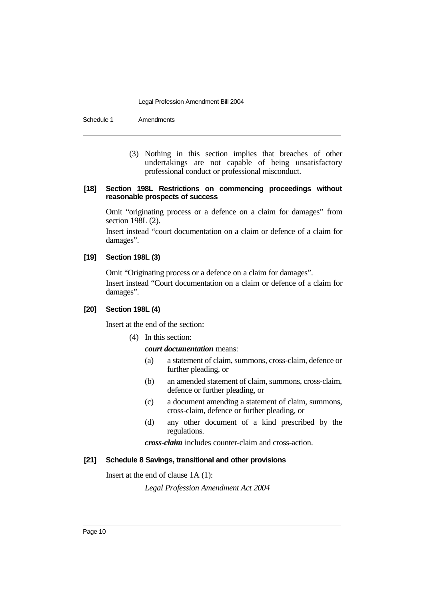Schedule 1 Amendments

(3) Nothing in this section implies that breaches of other undertakings are not capable of being unsatisfactory professional conduct or professional misconduct.

#### **[18] Section 198L Restrictions on commencing proceedings without reasonable prospects of success**

Omit "originating process or a defence on a claim for damages" from section 198L (2).

Insert instead "court documentation on a claim or defence of a claim for damages".

#### **[19] Section 198L (3)**

Omit "Originating process or a defence on a claim for damages". Insert instead "Court documentation on a claim or defence of a claim for damages".

## **[20] Section 198L (4)**

Insert at the end of the section:

(4) In this section:

#### *court documentation* means:

- (a) a statement of claim, summons, cross-claim, defence or further pleading, or
- (b) an amended statement of claim, summons, cross-claim, defence or further pleading, or
- (c) a document amending a statement of claim, summons, cross-claim, defence or further pleading, or
- (d) any other document of a kind prescribed by the regulations.

*cross-claim* includes counter-claim and cross-action.

## **[21] Schedule 8 Savings, transitional and other provisions**

Insert at the end of clause 1A (1):

*Legal Profession Amendment Act 2004*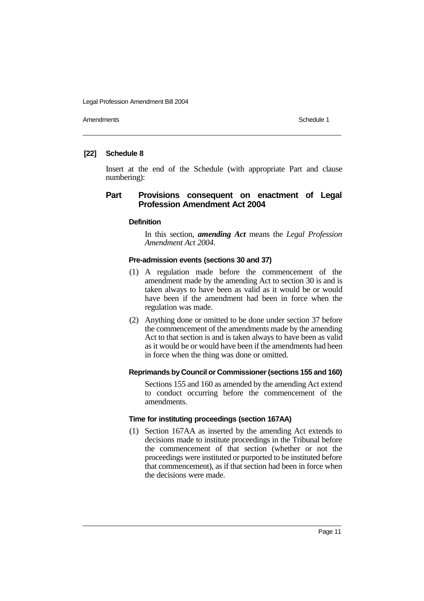Amendments **Schedule 1** and the set of the set of the set of the set of the set of the set of the set of the set of the set of the set of the set of the set of the set of the set of the set of the set of the set of the set

## **[22] Schedule 8**

Insert at the end of the Schedule (with appropriate Part and clause numbering):

## **Part Provisions consequent on enactment of Legal Profession Amendment Act 2004**

#### **Definition**

In this section, *amending Act* means the *Legal Profession Amendment Act 2004*.

#### **Pre-admission events (sections 30 and 37)**

- (1) A regulation made before the commencement of the amendment made by the amending Act to section 30 is and is taken always to have been as valid as it would be or would have been if the amendment had been in force when the regulation was made.
- (2) Anything done or omitted to be done under section 37 before the commencement of the amendments made by the amending Act to that section is and is taken always to have been as valid as it would be or would have been if the amendments had been in force when the thing was done or omitted.

#### **Reprimands by Council or Commissioner (sections 155 and 160)**

Sections 155 and 160 as amended by the amending Act extend to conduct occurring before the commencement of the amendments.

#### **Time for instituting proceedings (section 167AA)**

(1) Section 167AA as inserted by the amending Act extends to decisions made to institute proceedings in the Tribunal before the commencement of that section (whether or not the proceedings were instituted or purported to be instituted before that commencement), as if that section had been in force when the decisions were made.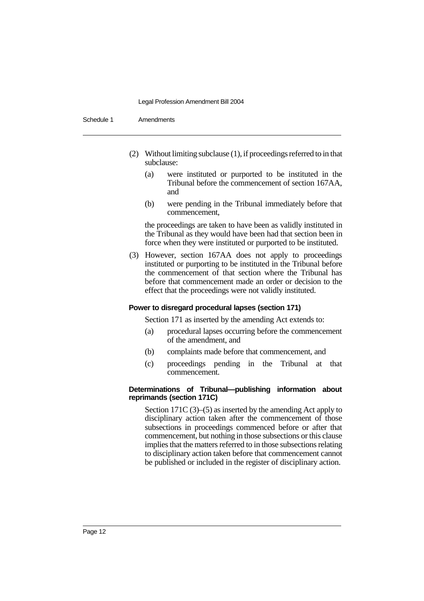Schedule 1 Amendments

- (2) Without limiting subclause (1), if proceedings referred to in that subclause:
	- (a) were instituted or purported to be instituted in the Tribunal before the commencement of section 167AA, and
	- (b) were pending in the Tribunal immediately before that commencement,

the proceedings are taken to have been as validly instituted in the Tribunal as they would have been had that section been in force when they were instituted or purported to be instituted.

(3) However, section 167AA does not apply to proceedings instituted or purporting to be instituted in the Tribunal before the commencement of that section where the Tribunal has before that commencement made an order or decision to the effect that the proceedings were not validly instituted.

#### **Power to disregard procedural lapses (section 171)**

Section 171 as inserted by the amending Act extends to:

- (a) procedural lapses occurring before the commencement of the amendment, and
- (b) complaints made before that commencement, and
- (c) proceedings pending in the Tribunal at that commencement.

#### **Determinations of Tribunal—publishing information about reprimands (section 171C)**

Section 171C (3)–(5) as inserted by the amending Act apply to disciplinary action taken after the commencement of those subsections in proceedings commenced before or after that commencement, but nothing in those subsections or this clause implies that the matters referred to in those subsections relating to disciplinary action taken before that commencement cannot be published or included in the register of disciplinary action.